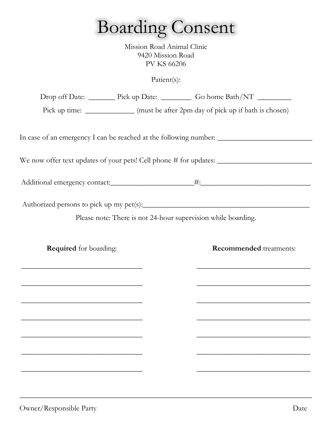## Boarding Consent

Mission Road Animal Clinic 9420 Mission Road PV KS 66206

Patient(s):

|                                                                                                                     | Drop off Date: _________ Pick up Date: __________ Go home Bath/NT _________       |
|---------------------------------------------------------------------------------------------------------------------|-----------------------------------------------------------------------------------|
|                                                                                                                     | Pick up time: _____________ (must be after 2pm day of pick up if bath is chosen)  |
|                                                                                                                     |                                                                                   |
|                                                                                                                     | In case of an emergency I can be reached at the following number: _______________ |
|                                                                                                                     |                                                                                   |
|                                                                                                                     |                                                                                   |
|                                                                                                                     |                                                                                   |
|                                                                                                                     | Please note: There is not 24-hour supervision while boarding.                     |
|                                                                                                                     |                                                                                   |
| <b>Required</b> for boarding:                                                                                       | <b>Recommended</b> treatments:                                                    |
|                                                                                                                     | <u> 1980 - Johann John Stone, markin film eta gazetaria (h. 1980).</u>            |
| <u> 1989 - Andrea Andrew Maria Maria Maria Maria Maria Maria Maria Maria Maria Maria Maria Maria Maria Maria Ma</u> |                                                                                   |
|                                                                                                                     |                                                                                   |
|                                                                                                                     |                                                                                   |
|                                                                                                                     |                                                                                   |
|                                                                                                                     |                                                                                   |
|                                                                                                                     |                                                                                   |
|                                                                                                                     |                                                                                   |

**\_\_\_\_\_\_\_\_\_\_\_\_\_\_\_\_\_\_\_\_\_\_\_\_\_\_\_\_\_\_\_\_\_\_\_\_\_\_\_\_\_\_\_\_\_\_\_\_\_\_\_\_\_\_\_\_\_\_\_\_\_\_\_\_\_\_\_\_\_\_\_\_\_\_\_\_\_**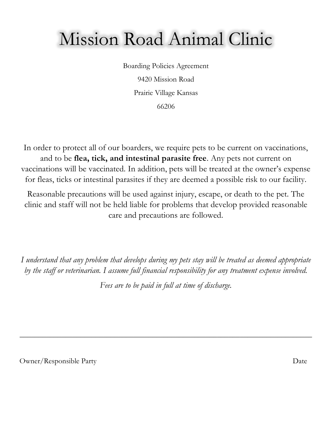### Mission Road Animal Clinic

Boarding Policies Agreement 9420 Mission Road Prairie Village Kansas 66206

In order to protect all of our boarders, we require pets to be current on vaccinations, and to be **flea, tick, and intestinal parasite free**. Any pets not current on vaccinations will be vaccinated. In addition, pets will be treated at the owner's expense for fleas, ticks or intestinal parasites if they are deemed a possible risk to our facility.

Reasonable precautions will be used against injury, escape, or death to the pet. The clinic and staff will not be held liable for problems that develop provided reasonable care and precautions are followed.

*I understand that any problem that develops during my pets stay will be treated as deemed appropriate by the staff or veterinarian. I assume full financial responsibility for any treatment expense involved.*

*Fees are to be paid in full at time of discharge.*

*\_\_\_\_\_\_\_\_\_\_\_\_\_\_\_\_\_\_\_\_\_\_\_\_\_\_\_\_\_\_\_\_\_\_\_\_\_\_\_\_\_\_\_\_\_\_\_\_\_\_\_\_\_\_\_\_\_\_\_\_\_\_\_\_\_\_\_\_\_\_\_\_\_\_\_\_\_*

Owner/Responsible Party Date